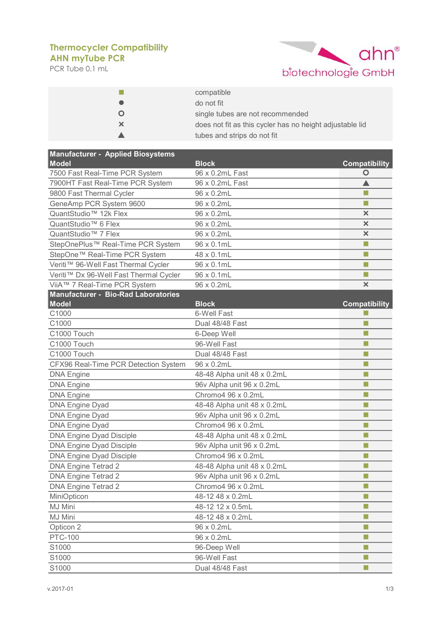## **AHN myTube PCR Thermocycler Compatibility**

PCR Tube 0.1 mL



|    | compatible                                               |
|----|----------------------------------------------------------|
|    | do not fit                                               |
|    | single tubes are not recommended                         |
| ×. | does not fit as this cycler has no height adjustable lid |
|    | tubes and strips do not fit                              |

| <b>Manufacturer - Applied Biosystems</b><br><b>Model</b> |                                 |                                 |
|----------------------------------------------------------|---------------------------------|---------------------------------|
| 7500 Fast Real-Time PCR System                           | <b>Block</b><br>96 x 0.2mL Fast | <b>Compatibility</b><br>$\circ$ |
| 7900HT Fast Real-Time PCR System                         | 96 x 0.2mL Fast                 |                                 |
| 9800 Fast Thermal Cycler                                 | 96 x 0.2mL                      | m.                              |
| GeneAmp PCR System 9600                                  | 96 x 0.2mL                      |                                 |
| QuantStudio <sup>™</sup> 12k Flex                        | 96 x 0.2mL                      | $\pmb{\times}$                  |
| QuantStudio <sup>™</sup> 6 Flex                          | 96 x 0.2mL                      | $\boldsymbol{\mathsf{x}}$       |
| QuantStudio <sup>™</sup> 7 Flex                          | 96 x 0.2mL                      | ×                               |
| StepOnePlus™ Real-Time PCR System                        | 96 x 0.1mL                      | ш                               |
| StepOne™ Real-Time PCR System                            | 48 x 0.1mL                      | m.                              |
| Veriti™ 96-Well Fast Thermal Cycler                      | 96 x 0.1mL                      | m.                              |
| Veriti™ Dx 96-Well Fast Thermal Cycler                   | 96 x 0.1mL                      | ш                               |
| ViiA™ 7 Real-Time PCR System                             | 96 x 0.2mL                      | $\boldsymbol{\times}$           |
| <b>Manufacturer - Bio-Rad Laboratories</b>               |                                 |                                 |
| <b>Model</b>                                             | <b>Block</b>                    | <b>Compatibility</b>            |
| C1000                                                    | 6-Well Fast                     |                                 |
| C1000                                                    | Dual 48/48 Fast                 | m.                              |
| C1000 Touch                                              | 6-Deep Well                     | m.                              |
| C1000 Touch                                              | 96-Well Fast                    | m.                              |
| C1000 Touch                                              | Dual 48/48 Fast                 | ш                               |
| CFX96 Real-Time PCR Detection System                     | 96 x 0.2mL                      | п                               |
| <b>DNA Engine</b>                                        | 48-48 Alpha unit 48 x 0.2mL     | m.                              |
| <b>DNA Engine</b>                                        | 96v Alpha unit 96 x 0.2mL       | m.                              |
| <b>DNA Engine</b>                                        | Chromo4 96 x 0.2mL              | ш                               |
| <b>DNA Engine Dyad</b>                                   | 48-48 Alpha unit 48 x 0.2mL     | П                               |
| <b>DNA Engine Dyad</b>                                   | 96v Alpha unit 96 x 0.2mL       | m.                              |
| <b>DNA Engine Dyad</b>                                   | Chromo4 96 x 0.2mL              | П                               |
| <b>DNA Engine Dyad Disciple</b>                          | 48-48 Alpha unit 48 x 0.2mL     | п                               |
| <b>DNA Engine Dyad Disciple</b>                          | 96v Alpha unit 96 x 0.2mL       | П                               |
| <b>DNA Engine Dyad Disciple</b>                          | Chromo4 96 x 0.2mL              | ш                               |
| <b>DNA Engine Tetrad 2</b>                               | 48-48 Alpha unit 48 x 0.2mL     | m.                              |
| <b>DNA Engine Tetrad 2</b>                               | 96v Alpha unit 96 x 0.2mL       | П                               |
| <b>DNA Engine Tetrad 2</b>                               | Chromo4 96 x 0.2mL              | П                               |
| MiniOpticon                                              | 48-12 48 x 0.2mL                | ш                               |
| MJ Mini                                                  | 48-12 12 x 0.5mL                | ш                               |
| MJ Mini                                                  | 48-12 48 x 0.2mL                | m.                              |
| Opticon 2                                                | 96 x 0.2mL                      | ш                               |
| <b>PTC-100</b>                                           | 96 x 0.2mL                      | п                               |
| S1000                                                    | 96-Deep Well                    | п                               |
| S1000                                                    | 96-Well Fast                    |                                 |
| S1000                                                    | Dual 48/48 Fast                 | m.                              |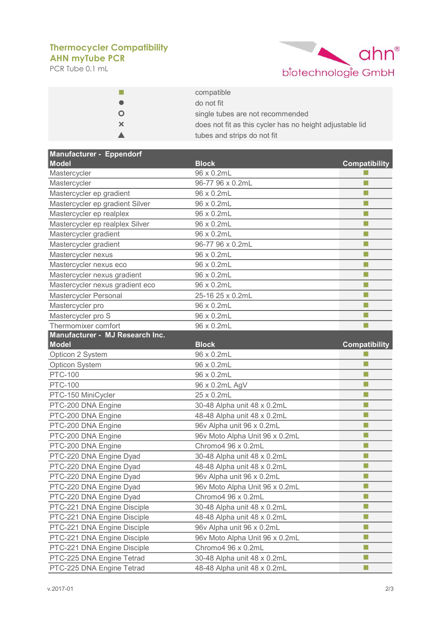## **AHN myTube PCR Thermocycler Compatibility**

PCR Tube 0.1 mL



|   | compatible                                               |
|---|----------------------------------------------------------|
|   | do not fit                                               |
|   | single tubes are not recommended                         |
| × | does not fit as this cycler has no height adjustable lid |
|   | tubes and strips do not fit                              |

| <b>Manufacturer - Eppendorf</b> |                                |                          |
|---------------------------------|--------------------------------|--------------------------|
| <b>Model</b>                    | <b>Block</b>                   | <b>Compatibility</b>     |
| Mastercycler                    | 96 x 0.2mL                     |                          |
| Mastercycler                    | 96-77 96 x 0.2mL               | m.                       |
| Mastercycler ep gradient        | 96 x 0.2mL                     | П                        |
| Mastercycler ep gradient Silver | 96 x 0.2mL                     | ш                        |
| Mastercycler ep realplex        | 96 x 0.2mL                     | m.                       |
| Mastercycler ep realplex Silver | 96 x 0.2mL                     | П                        |
| Mastercycler gradient           | 96 x 0.2mL                     | ш                        |
| Mastercycler gradient           | 96-77 96 x 0.2mL               | m.                       |
| Mastercycler nexus              | 96 x 0.2mL                     | m.                       |
| Mastercycler nexus eco          | 96 x 0.2mL                     | П                        |
| Mastercycler nexus gradient     | 96 x 0.2mL                     | ш                        |
| Mastercycler nexus gradient eco | 96 x 0.2mL                     | П                        |
| Mastercycler Personal           | 25-16 25 x 0.2mL               | m.                       |
| Mastercycler pro                | 96 x 0.2mL                     | ш                        |
| Mastercycler pro S              | 96 x 0.2mL                     | m.                       |
| Thermomixer comfort             | 96 x 0.2mL                     |                          |
| Manufacturer - MJ Research Inc. |                                |                          |
| <b>Model</b>                    | <b>Block</b>                   | <b>Compatibility</b>     |
| Opticon 2 System                | 96 x 0.2mL                     |                          |
| Opticon System                  | 96 x 0.2mL                     | m.                       |
| <b>PTC-100</b>                  | 96 x 0.2mL                     | m.                       |
| <b>PTC-100</b>                  | 96 x 0.2mL AgV                 | ш                        |
| PTC-150 MiniCycler              | 25 x 0.2mL                     | ш                        |
| PTC-200 DNA Engine              | 30-48 Alpha unit 48 x 0.2mL    | m.                       |
| PTC-200 DNA Engine              | 48-48 Alpha unit 48 x 0.2mL    | П                        |
| PTC-200 DNA Engine              | 96v Alpha unit 96 x 0.2mL      | П                        |
| PTC-200 DNA Engine              | 96v Moto Alpha Unit 96 x 0.2mL | п                        |
| PTC-200 DNA Engine              | Chromo4 96 x 0.2mL             | п                        |
| PTC-220 DNA Engine Dyad         | 30-48 Alpha unit 48 x 0.2mL    | ш                        |
| PTC-220 DNA Engine Dyad         | 48-48 Alpha unit 48 x 0.2mL    | m.                       |
| PTC-220 DNA Engine Dyad         | 96v Alpha unit 96 x 0.2mL      | m.                       |
| PTC-220 DNA Engine Dyad         | 96v Moto Alpha Unit 96 x 0.2mL | m.                       |
| PTC-220 DNA Engine Dyad         | Chromo4 96 x 0.2mL             | m.                       |
| PTC-221 DNA Engine Disciple     | 30-48 Alpha unit 48 x 0.2mL    | п                        |
| PTC-221 DNA Engine Disciple     | 48-48 Alpha unit 48 x 0.2mL    | ш                        |
| PTC-221 DNA Engine Disciple     | 96v Alpha unit 96 x 0.2mL      | ш                        |
| PTC-221 DNA Engine Disciple     | 96v Moto Alpha Unit 96 x 0.2mL | п                        |
| PTC-221 DNA Engine Disciple     | Chromo4 96 x 0.2mL             | П                        |
| PTC-225 DNA Engine Tetrad       | 30-48 Alpha unit 48 x 0.2mL    | ш                        |
| PTC-225 DNA Engine Tetrad       | 48-48 Alpha unit 48 x 0.2mL    | $\overline{\phantom{a}}$ |